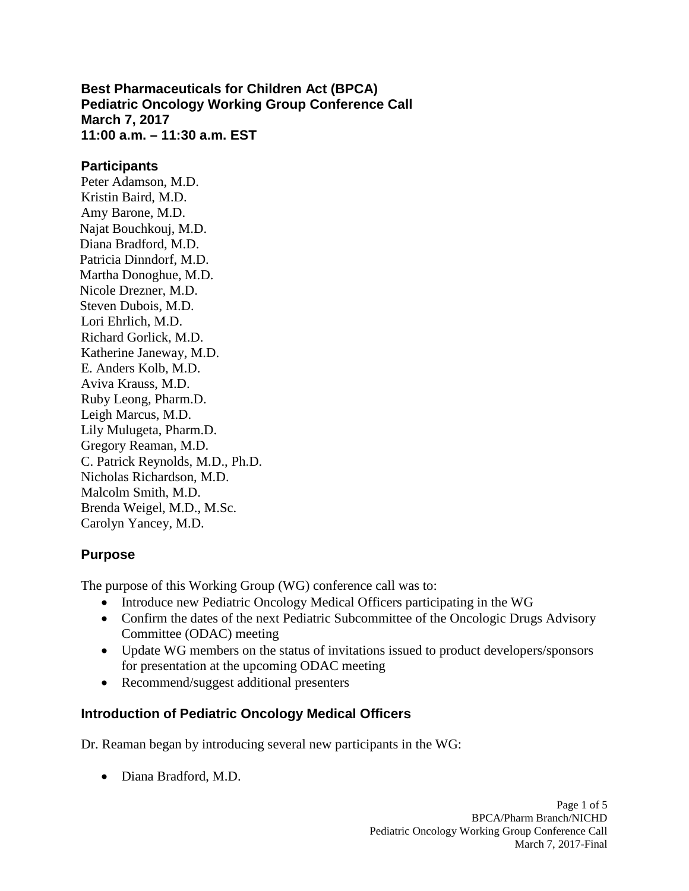**Best Pharmaceuticals for Children Act (BPCA) Pediatric Oncology Working Group Conference Call March 7, 2017 11:00 a.m. – 11:30 a.m. EST** 

#### **Participants**

Peter Adamson, M.D. Kristin Baird, M.D. Amy Barone, M.D. Najat Bouchkouj, M.D. Diana Bradford, M.D. Patricia Dinndorf, M.D. Martha Donoghue, M.D. Nicole Drezner, M.D. Steven Dubois, M.D. Lori Ehrlich, M.D. Richard Gorlick, M.D. Katherine Janeway, M.D. E. Anders Kolb, M.D. Aviva Krauss, M.D. Ruby Leong, Pharm.D. Leigh Marcus, M.D. Lily Mulugeta, Pharm.D. Gregory Reaman, M.D. C. Patrick Reynolds, M.D., Ph.D. Nicholas Richardson, M.D. Malcolm Smith, M.D. Brenda Weigel, M.D., M.Sc. Carolyn Yancey, M.D.

### **Purpose**

The purpose of this Working Group (WG) conference call was to:

- Introduce new Pediatric Oncology Medical Officers participating in the WG
- Confirm the dates of the next Pediatric Subcommittee of the Oncologic Drugs Advisory Committee (ODAC) meeting
- Update WG members on the status of invitations issued to product developers/sponsors for presentation at the upcoming ODAC meeting
- Recommend/suggest additional presenters

### **Introduction of Pediatric Oncology Medical Officers**

Dr. Reaman began by introducing several new participants in the WG:

• Diana Bradford, M.D.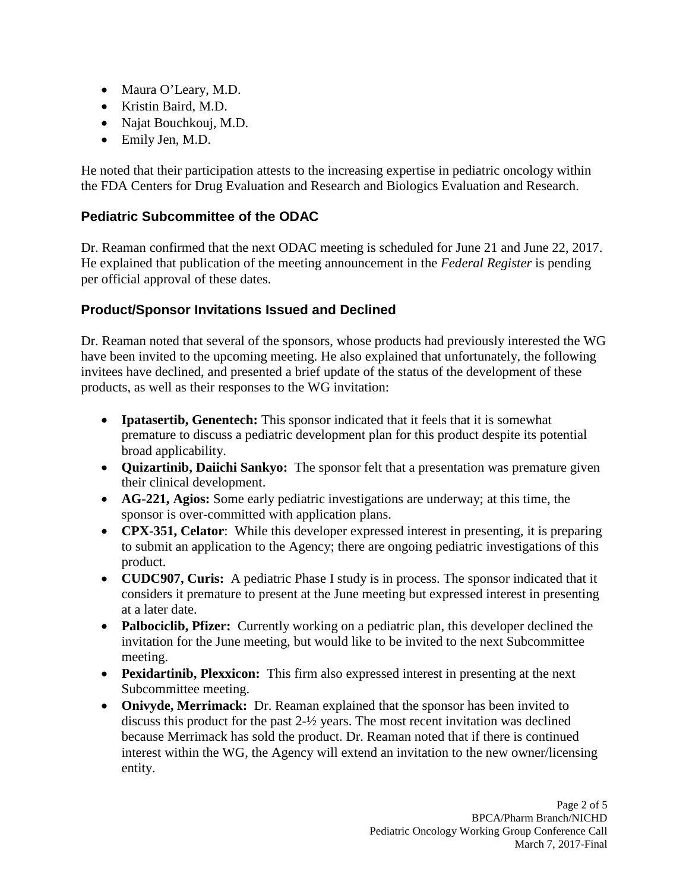- Maura O'Leary, M.D.
- Kristin Baird, M.D.
- Najat Bouchkouj, M.D.
- Emily Jen, M.D.

He noted that their participation attests to the increasing expertise in pediatric oncology within the FDA Centers for Drug Evaluation and Research and Biologics Evaluation and Research.

# **Pediatric Subcommittee of the ODAC**

Dr. Reaman confirmed that the next ODAC meeting is scheduled for June 21 and June 22, 2017. He explained that publication of the meeting announcement in the *Federal Register* is pending per official approval of these dates.

# **Product/Sponsor Invitations Issued and Declined**

Dr. Reaman noted that several of the sponsors, whose products had previously interested the WG have been invited to the upcoming meeting. He also explained that unfortunately, the following invitees have declined, and presented a brief update of the status of the development of these products, as well as their responses to the WG invitation:

- **Ipatasertib, Genentech:** This sponsor indicated that it feels that it is somewhat premature to discuss a pediatric development plan for this product despite its potential broad applicability.
- **Quizartinib, Daiichi Sankyo:** The sponsor felt that a presentation was premature given their clinical development.
- **AG-221, Agios:** Some early pediatric investigations are underway; at this time, the sponsor is over-committed with application plans.
- **CPX-351, Celator**: While this developer expressed interest in presenting, it is preparing to submit an application to the Agency; there are ongoing pediatric investigations of this product.
- **CUDC907, Curis:** A pediatric Phase I study is in process. The sponsor indicated that it considers it premature to present at the June meeting but expressed interest in presenting at a later date.
- **Palbociclib, Pfizer:** Currently working on a pediatric plan, this developer declined the invitation for the June meeting, but would like to be invited to the next Subcommittee meeting.
- **Pexidartinib, Plexxicon:** This firm also expressed interest in presenting at the next Subcommittee meeting.
- **Onivyde, Merrimack:** Dr. Reaman explained that the sponsor has been invited to discuss this product for the past 2-½ years. The most recent invitation was declined because Merrimack has sold the product. Dr. Reaman noted that if there is continued interest within the WG, the Agency will extend an invitation to the new owner/licensing entity.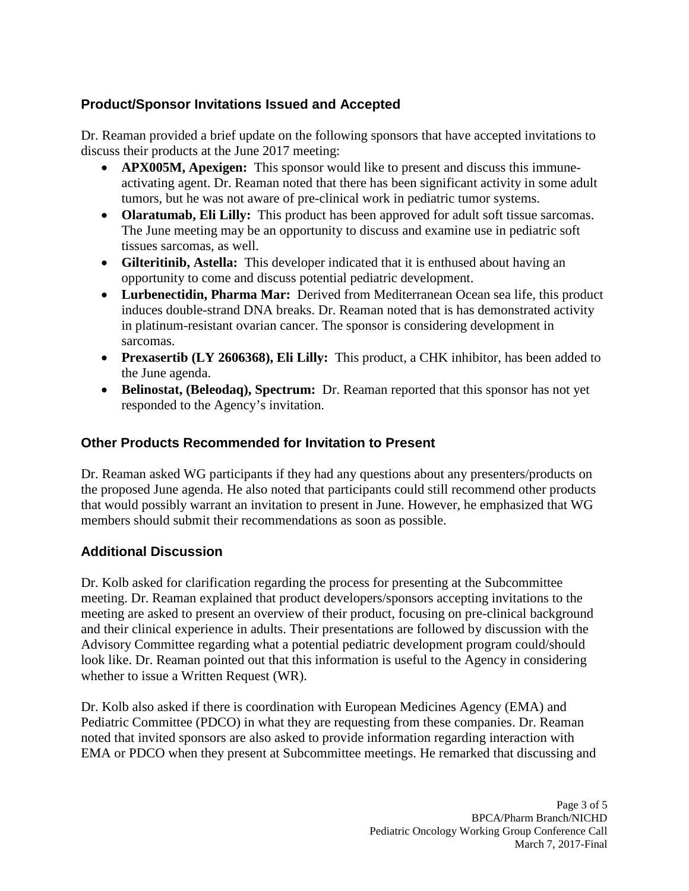# **Product/Sponsor Invitations Issued and Accepted**

Dr. Reaman provided a brief update on the following sponsors that have accepted invitations to discuss their products at the June 2017 meeting:

- **APX005M, Apexigen:** This sponsor would like to present and discuss this immuneactivating agent. Dr. Reaman noted that there has been significant activity in some adult tumors, but he was not aware of pre-clinical work in pediatric tumor systems.
- **Olaratumab, Eli Lilly:** This product has been approved for adult soft tissue sarcomas. The June meeting may be an opportunity to discuss and examine use in pediatric soft tissues sarcomas, as well.
- **Gilteritinib, Astella:** This developer indicated that it is enthused about having an opportunity to come and discuss potential pediatric development.
- **Lurbenectidin, Pharma Mar:** Derived from Mediterranean Ocean sea life, this product induces double-strand DNA breaks. Dr. Reaman noted that is has demonstrated activity in platinum-resistant ovarian cancer. The sponsor is considering development in sarcomas.
- **Prexasertib (LY 2606368), Eli Lilly:** This product, a CHK inhibitor, has been added to the June agenda.
- **Belinostat, (Beleodaq), Spectrum:** Dr. Reaman reported that this sponsor has not yet responded to the Agency's invitation.

# **Other Products Recommended for Invitation to Present**

Dr. Reaman asked WG participants if they had any questions about any presenters/products on the proposed June agenda. He also noted that participants could still recommend other products that would possibly warrant an invitation to present in June. However, he emphasized that WG members should submit their recommendations as soon as possible.

### **Additional Discussion**

Dr. Kolb asked for clarification regarding the process for presenting at the Subcommittee meeting. Dr. Reaman explained that product developers/sponsors accepting invitations to the meeting are asked to present an overview of their product, focusing on pre-clinical background and their clinical experience in adults. Their presentations are followed by discussion with the Advisory Committee regarding what a potential pediatric development program could/should look like. Dr. Reaman pointed out that this information is useful to the Agency in considering whether to issue a Written Request (WR).

Dr. Kolb also asked if there is coordination with European Medicines Agency (EMA) and Pediatric Committee (PDCO) in what they are requesting from these companies. Dr. Reaman noted that invited sponsors are also asked to provide information regarding interaction with EMA or PDCO when they present at Subcommittee meetings. He remarked that discussing and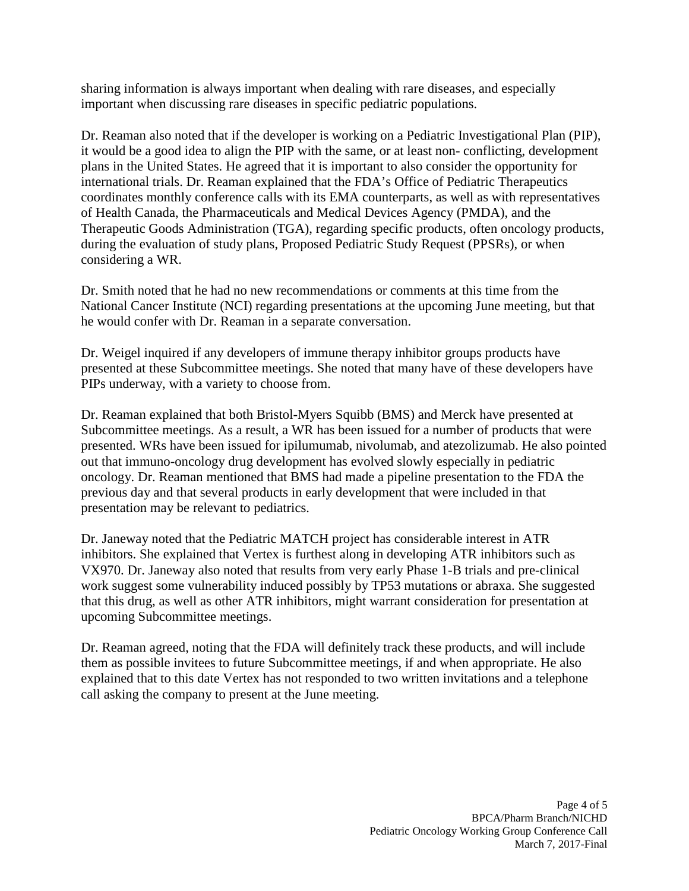sharing information is always important when dealing with rare diseases, and especially important when discussing rare diseases in specific pediatric populations.

Dr. Reaman also noted that if the developer is working on a Pediatric Investigational Plan (PIP), it would be a good idea to align the PIP with the same, or at least non- conflicting, development plans in the United States. He agreed that it is important to also consider the opportunity for international trials. Dr. Reaman explained that the FDA's Office of Pediatric Therapeutics coordinates monthly conference calls with its EMA counterparts, as well as with representatives of Health Canada, the Pharmaceuticals and Medical Devices Agency (PMDA), and the Therapeutic Goods Administration (TGA), regarding specific products, often oncology products, during the evaluation of study plans, Proposed Pediatric Study Request (PPSRs), or when considering a WR.

Dr. Smith noted that he had no new recommendations or comments at this time from the National Cancer Institute (NCI) regarding presentations at the upcoming June meeting, but that he would confer with Dr. Reaman in a separate conversation.

Dr. Weigel inquired if any developers of immune therapy inhibitor groups products have presented at these Subcommittee meetings. She noted that many have of these developers have PIPs underway, with a variety to choose from.

Dr. Reaman explained that both Bristol-Myers Squibb (BMS) and Merck have presented at Subcommittee meetings. As a result, a WR has been issued for a number of products that were presented. WRs have been issued for ipilumumab, nivolumab, and atezolizumab. He also pointed out that immuno-oncology drug development has evolved slowly especially in pediatric oncology. Dr. Reaman mentioned that BMS had made a pipeline presentation to the FDA the previous day and that several products in early development that were included in that presentation may be relevant to pediatrics.

Dr. Janeway noted that the Pediatric MATCH project has considerable interest in ATR inhibitors. She explained that Vertex is furthest along in developing ATR inhibitors such as VX970. Dr. Janeway also noted that results from very early Phase 1-B trials and pre-clinical work suggest some vulnerability induced possibly by TP53 mutations or abraxa. She suggested that this drug, as well as other ATR inhibitors, might warrant consideration for presentation at upcoming Subcommittee meetings.

Dr. Reaman agreed, noting that the FDA will definitely track these products, and will include them as possible invitees to future Subcommittee meetings, if and when appropriate. He also explained that to this date Vertex has not responded to two written invitations and a telephone call asking the company to present at the June meeting.